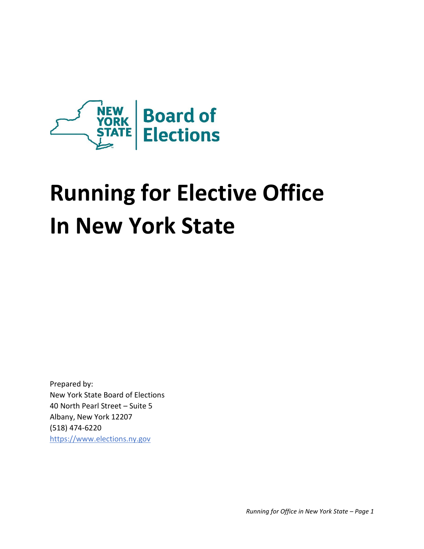

# **Running for Elective Office In New York State**

Prepared by: New York State Board of Elections 40 North Pearl Street – Suite 5 Albany, New York 12207 (518) 474-6220 https:/[/www.elections.ny.gov](http://www.elections.ny.gov/)

*Running for Office in New York State – Page 1*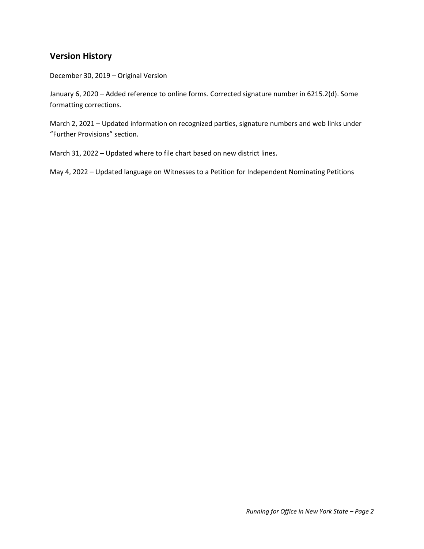## **Version History**

December 30, 2019 – Original Version

January 6, 2020 – Added reference to online forms. Corrected signature number in 6215.2(d). Some formatting corrections.

March 2, 2021 – Updated information on recognized parties, signature numbers and web links under "Further Provisions" section.

March 31, 2022 – Updated where to file chart based on new district lines.

May 4, 2022 – Updated language on Witnesses to a Petition for Independent Nominating Petitions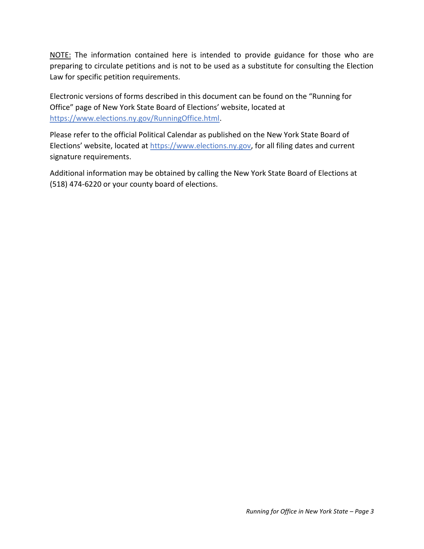NOTE: The information contained here is intended to provide guidance for those who are preparing to circulate petitions and is not to be used as a substitute for consulting the Election Law for specific petition requirements.

Electronic versions of forms described in this document can be found on the "Running for Office" page of New York State Board of Elections' website, located at https://www.elections.ny.gov/RunningOffice.html.

Please refer to the official Political Calendar as published on the New York State Board of Elections' website, located at https://www.elections.ny.gov, for all filing dates and current signature requirements.

Additional information may be obtained by calling the New York State Board of Elections at (518) 474-6220 or your county board of elections.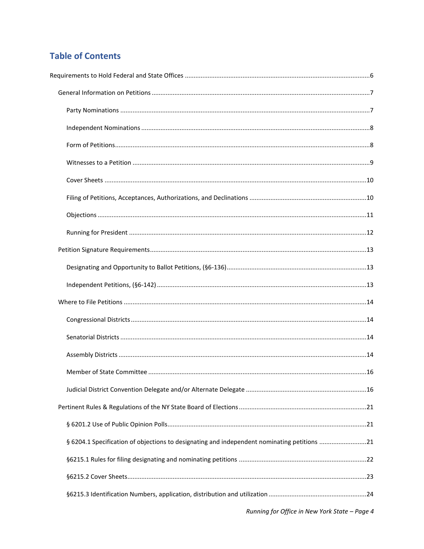# **Table of Contents**

| § 6204.1 Specification of objections to designating and independent nominating petitions 21 |  |
|---------------------------------------------------------------------------------------------|--|
|                                                                                             |  |
|                                                                                             |  |
|                                                                                             |  |
|                                                                                             |  |

Running for Office in New York State - Page 4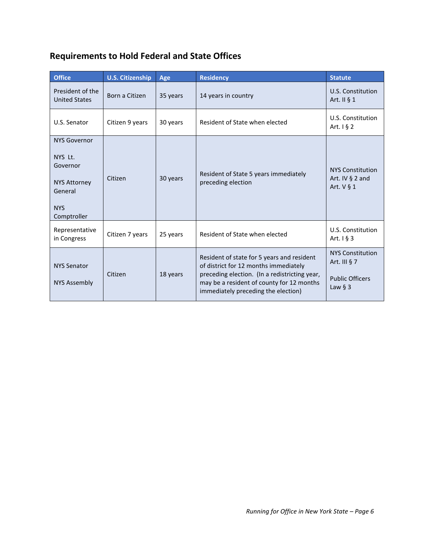<span id="page-5-0"></span>

| <b>Requirements to Hold Federal and State Offices</b> |  |  |
|-------------------------------------------------------|--|--|
|-------------------------------------------------------|--|--|

| <b>Office</b>                                                                                             | <b>U.S. Citizenship</b> | Age      | <b>Residency</b>                                                                                                                                                                                                         | <b>Statute</b>                                                                    |
|-----------------------------------------------------------------------------------------------------------|-------------------------|----------|--------------------------------------------------------------------------------------------------------------------------------------------------------------------------------------------------------------------------|-----------------------------------------------------------------------------------|
| President of the<br><b>United States</b>                                                                  | Born a Citizen          | 35 years | 14 years in country                                                                                                                                                                                                      | U.S. Constitution<br>Art. II § 1                                                  |
| U.S. Senator                                                                                              | Citizen 9 years         | 30 years | Resident of State when elected                                                                                                                                                                                           | U.S. Constitution<br>Art. $1\,$ § 2                                               |
| <b>NYS Governor</b><br>NYS Lt.<br>Governor<br><b>NYS Attorney</b><br>General<br><b>NYS</b><br>Comptroller | Citizen                 | 30 years | Resident of State 5 years immediately<br>preceding election                                                                                                                                                              | <b>NYS Constitution</b><br>Art. IV $\S$ 2 and<br>Art. $V$ § 1                     |
| Representative<br>in Congress                                                                             | Citizen 7 years         | 25 years | Resident of State when elected                                                                                                                                                                                           | U.S. Constitution<br>Art. $1\overline{5}3$                                        |
| <b>NYS Senator</b><br><b>NYS Assembly</b>                                                                 | Citizen                 | 18 years | Resident of state for 5 years and resident<br>of district for 12 months immediately<br>preceding election. (In a redistricting year,<br>may be a resident of county for 12 months<br>immediately preceding the election) | <b>NYS Constitution</b><br>Art. III $\S$ 7<br><b>Public Officers</b><br>Law $§$ 3 |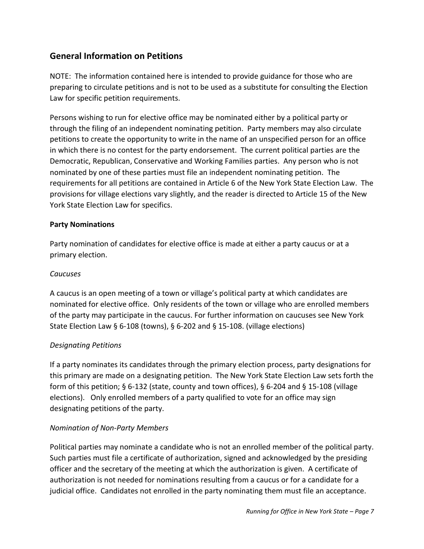## <span id="page-6-0"></span>**General Information on Petitions**

NOTE: The information contained here is intended to provide guidance for those who are preparing to circulate petitions and is not to be used as a substitute for consulting the Election Law for specific petition requirements.

Persons wishing to run for elective office may be nominated either by a political party or through the filing of an independent nominating petition. Party members may also circulate petitions to create the opportunity to write in the name of an unspecified person for an office in which there is no contest for the party endorsement. The current political parties are the Democratic, Republican, Conservative and Working Families parties. Any person who is not nominated by one of these parties must file an independent nominating petition. The requirements for all petitions are contained in Article 6 of the New York State Election Law. The provisions for village elections vary slightly, and the reader is directed to Article 15 of the New York State Election Law for specifics.

## <span id="page-6-1"></span>**Party Nominations**

Party nomination of candidates for elective office is made at either a party caucus or at a primary election.

## *Caucuses*

A caucus is an open meeting of a town or village's political party at which candidates are nominated for elective office. Only residents of the town or village who are enrolled members of the party may participate in the caucus. For further information on caucuses see New York State Election Law § 6-108 (towns), § 6-202 and § 15-108. (village elections)

## *Designating Petitions*

If a party nominates its candidates through the primary election process, party designations for this primary are made on a designating petition. The New York State Election Law sets forth the form of this petition; § 6-132 (state, county and town offices), § 6-204 and § 15-108 (village elections). Only enrolled members of a party qualified to vote for an office may sign designating petitions of the party.

## *Nomination of Non-Party Members*

Political parties may nominate a candidate who is not an enrolled member of the political party. Such parties must file a certificate of authorization, signed and acknowledged by the presiding officer and the secretary of the meeting at which the authorization is given. A certificate of authorization is not needed for nominations resulting from a caucus or for a candidate for a judicial office. Candidates not enrolled in the party nominating them must file an acceptance.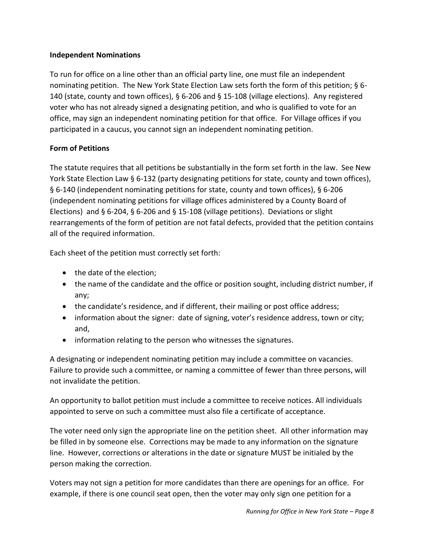## <span id="page-7-0"></span>**Independent Nominations**

To run for office on a line other than an official party line, one must file an independent nominating petition. The New York State Election Law sets forth the form of this petition; § 6- 140 (state, county and town offices), § 6-206 and § 15-108 (village elections). Any registered voter who has not already signed a designating petition, and who is qualified to vote for an office, may sign an independent nominating petition for that office. For Village offices if you participated in a caucus, you cannot sign an independent nominating petition.

#### <span id="page-7-1"></span>**Form of Petitions**

The statute requires that all petitions be substantially in the form set forth in the law. See New York State Election Law § 6-132 (party designating petitions for state, county and town offices), § 6-140 (independent nominating petitions for state, county and town offices), § 6-206 (independent nominating petitions for village offices administered by a County Board of Elections) and § 6-204, § 6-206 and § 15-108 (village petitions). Deviations or slight rearrangements of the form of petition are not fatal defects, provided that the petition contains all of the required information.

Each sheet of the petition must correctly set forth:

- the date of the election;
- the name of the candidate and the office or position sought, including district number, if any;
- the candidate's residence, and if different, their mailing or post office address;
- information about the signer: date of signing, voter's residence address, town or city; and,
- information relating to the person who witnesses the signatures.

A designating or independent nominating petition may include a committee on vacancies. Failure to provide such a committee, or naming a committee of fewer than three persons, will not invalidate the petition.

An opportunity to ballot petition must include a committee to receive notices. All individuals appointed to serve on such a committee must also file a certificate of acceptance.

The voter need only sign the appropriate line on the petition sheet. All other information may be filled in by someone else. Corrections may be made to any information on the signature line. However, corrections or alterations in the date or signature MUST be initialed by the person making the correction.

Voters may not sign a petition for more candidates than there are openings for an office. For example, if there is one council seat open, then the voter may only sign one petition for a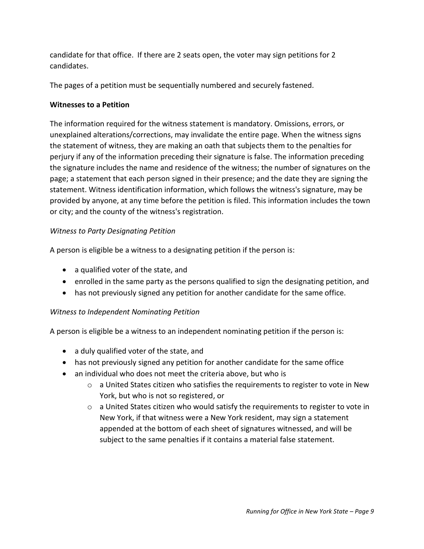candidate for that office. If there are 2 seats open, the voter may sign petitions for 2 candidates.

The pages of a petition must be sequentially numbered and securely fastened.

## <span id="page-8-0"></span>**Witnesses to a Petition**

The information required for the witness statement is mandatory. Omissions, errors, or unexplained alterations/corrections, may invalidate the entire page. When the witness signs the statement of witness, they are making an oath that subjects them to the penalties for perjury if any of the information preceding their signature is false. The information preceding the signature includes the name and residence of the witness; the number of signatures on the page; a statement that each person signed in their presence; and the date they are signing the statement. Witness identification information, which follows the witness's signature, may be provided by anyone, at any time before the petition is filed. This information includes the town or city; and the county of the witness's registration.

## *Witness to Party Designating Petition*

A person is eligible be a witness to a designating petition if the person is:

- a qualified voter of the state, and
- enrolled in the same party as the persons qualified to sign the designating petition, and
- has not previously signed any petition for another candidate for the same office.

## *Witness to Independent Nominating Petition*

A person is eligible be a witness to an independent nominating petition if the person is:

- a duly qualified voter of the state, and
- has not previously signed any petition for another candidate for the same office
- an individual who does not meet the criteria above, but who is
	- o a United States citizen who satisfies the requirements to register to vote in New York, but who is not so registered, or
	- $\circ$  a United States citizen who would satisfy the requirements to register to vote in New York, if that witness were a New York resident, may sign a statement appended at the bottom of each sheet of signatures witnessed, and will be subject to the same penalties if it contains a material false statement.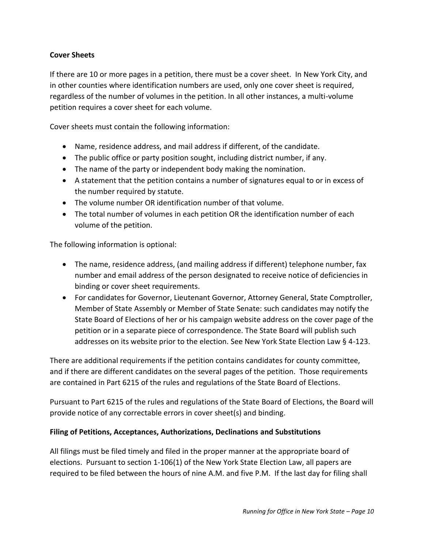## <span id="page-9-0"></span>**Cover Sheets**

If there are 10 or more pages in a petition, there must be a cover sheet. In New York City, and in other counties where identification numbers are used, only one cover sheet is required, regardless of the number of volumes in the petition. In all other instances, a multi-volume petition requires a cover sheet for each volume.

Cover sheets must contain the following information:

- Name, residence address, and mail address if different, of the candidate.
- The public office or party position sought, including district number, if any.
- The name of the party or independent body making the nomination.
- A statement that the petition contains a number of signatures equal to or in excess of the number required by statute.
- The volume number OR identification number of that volume.
- The total number of volumes in each petition OR the identification number of each volume of the petition.

The following information is optional:

- The name, residence address, (and mailing address if different) telephone number, fax number and email address of the person designated to receive notice of deficiencies in binding or cover sheet requirements.
- For candidates for Governor, Lieutenant Governor, Attorney General, State Comptroller, Member of State Assembly or Member of State Senate: such candidates may notify the State Board of Elections of her or his campaign website address on the cover page of the petition or in a separate piece of correspondence. The State Board will publish such addresses on its website prior to the election. See New York State Election Law § 4-123.

There are additional requirements if the petition contains candidates for county committee, and if there are different candidates on the several pages of the petition. Those requirements are contained in Part 6215 of the rules and regulations of the State Board of Elections.

Pursuant to Part 6215 of the rules and regulations of the State Board of Elections, the Board will provide notice of any correctable errors in cover sheet(s) and binding.

## <span id="page-9-1"></span>**Filing of Petitions, Acceptances, Authorizations, Declinations and Substitutions**

All filings must be filed timely and filed in the proper manner at the appropriate board of elections. Pursuant to section 1-106(1) of the New York State Election Law, all papers are required to be filed between the hours of nine A.M. and five P.M. If the last day for filing shall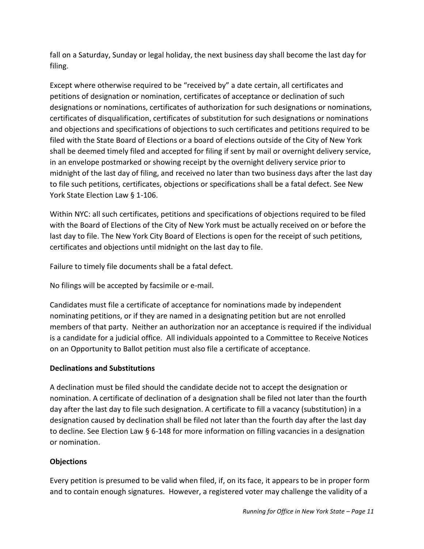fall on a Saturday, Sunday or legal holiday, the next business day shall become the last day for filing.

Except where otherwise required to be "received by" a date certain, all certificates and petitions of designation or nomination, certificates of acceptance or declination of such designations or nominations, certificates of authorization for such designations or nominations, certificates of disqualification, certificates of substitution for such designations or nominations and objections and specifications of objections to such certificates and petitions required to be filed with the State Board of Elections or a board of elections outside of the City of New York shall be deemed timely filed and accepted for filing if sent by mail or overnight delivery service, in an envelope postmarked or showing receipt by the overnight delivery service prior to midnight of the last day of filing, and received no later than two business days after the last day to file such petitions, certificates, objections or specifications shall be a fatal defect. See New York State Election Law § 1-106.

Within NYC: all such certificates, petitions and specifications of objections required to be filed with the Board of Elections of the City of New York must be actually received on or before the last day to file. The New York City Board of Elections is open for the receipt of such petitions, certificates and objections until midnight on the last day to file.

Failure to timely file documents shall be a fatal defect.

No filings will be accepted by facsimile or e-mail.

Candidates must file a certificate of acceptance for nominations made by independent nominating petitions, or if they are named in a designating petition but are not enrolled members of that party. Neither an authorization nor an acceptance is required if the individual is a candidate for a judicial office. All individuals appointed to a Committee to Receive Notices on an Opportunity to Ballot petition must also file a certificate of acceptance.

## <span id="page-10-0"></span>**Declinations and Substitutions**

A declination must be filed should the candidate decide not to accept the designation or nomination. A certificate of declination of a designation shall be filed not later than the fourth day after the last day to file such designation. A certificate to fill a vacancy (substitution) in a designation caused by declination shall be filed not later than the fourth day after the last day to decline. See Election Law § 6-148 for more information on filling vacancies in a designation or nomination.

## **Objections**

Every petition is presumed to be valid when filed, if, on its face, it appears to be in proper form and to contain enough signatures. However, a registered voter may challenge the validity of a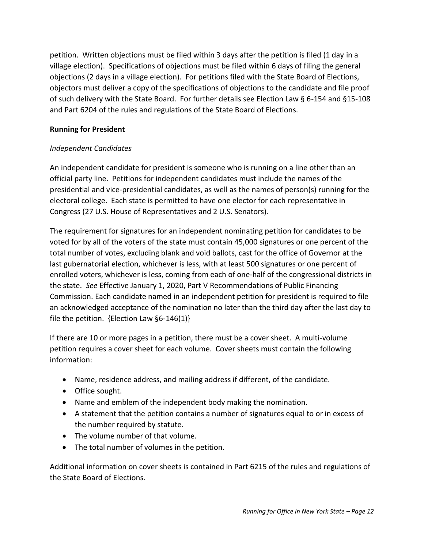petition. Written objections must be filed within 3 days after the petition is filed (1 day in a village election). Specifications of objections must be filed within 6 days of filing the general objections (2 days in a village election). For petitions filed with the State Board of Elections, objectors must deliver a copy of the specifications of objections to the candidate and file proof of such delivery with the State Board. For further details see Election Law § 6-154 and §15-108 and Part 6204 of the rules and regulations of the State Board of Elections.

## <span id="page-11-0"></span>**Running for President**

## *Independent Candidates*

An independent candidate for president is someone who is running on a line other than an official party line. Petitions for independent candidates must include the names of the presidential and vice-presidential candidates, as well as the names of person(s) running for the electoral college. Each state is permitted to have one elector for each representative in Congress (27 U.S. House of Representatives and 2 U.S. Senators).

The requirement for signatures for an independent nominating petition for candidates to be voted for by all of the voters of the state must contain 45,000 signatures or one percent of the total number of votes, excluding blank and void ballots, cast for the office of Governor at the last gubernatorial election, whichever is less, with at least 500 signatures or one percent of enrolled voters, whichever is less, coming from each of one-half of the congressional districts in the state. *See* Effective January 1, 2020, Part V Recommendations of Public Financing Commission. Each candidate named in an independent petition for president is required to file an acknowledged acceptance of the nomination no later than the third day after the last day to file the petition. {Election Law §6-146(1)}

If there are 10 or more pages in a petition, there must be a cover sheet. A multi-volume petition requires a cover sheet for each volume. Cover sheets must contain the following information:

- Name, residence address, and mailing address if different, of the candidate.
- Office sought.
- Name and emblem of the independent body making the nomination.
- A statement that the petition contains a number of signatures equal to or in excess of the number required by statute.
- The volume number of that volume.
- The total number of volumes in the petition.

Additional information on cover sheets is contained in Part 6215 of the rules and regulations of the State Board of Elections.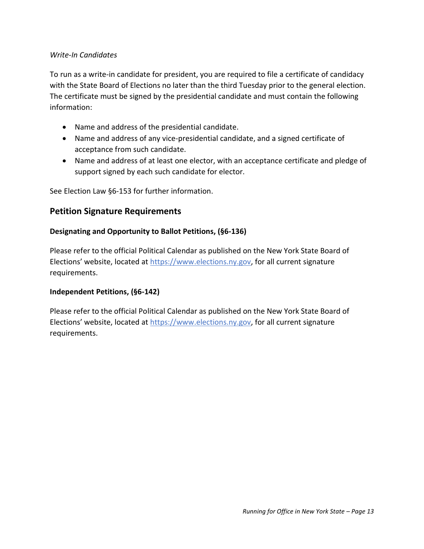### *Write-In Candidates*

To run as a write-in candidate for president, you are required to file a certificate of candidacy with the State Board of Elections no later than the third Tuesday prior to the general election. The certificate must be signed by the presidential candidate and must contain the following information:

- Name and address of the presidential candidate.
- Name and address of any vice-presidential candidate, and a signed certificate of acceptance from such candidate.
- Name and address of at least one elector, with an acceptance certificate and pledge of support signed by each such candidate for elector.

See Election Law §6-153 for further information.

## <span id="page-12-0"></span>**Petition Signature Requirements**

#### <span id="page-12-1"></span>**Designating and Opportunity to Ballot Petitions, (§6-136)**

<span id="page-12-2"></span>Please refer to the official Political Calendar as published on the New York State Board of Elections' website, located at https://www.elections.ny.gov, for all current signature requirements.

#### **Independent Petitions, (§6-142)**

Please refer to the official Political Calendar as published on the New York State Board of Elections' website, located at https://www.elections.ny.gov, for all current signature requirements.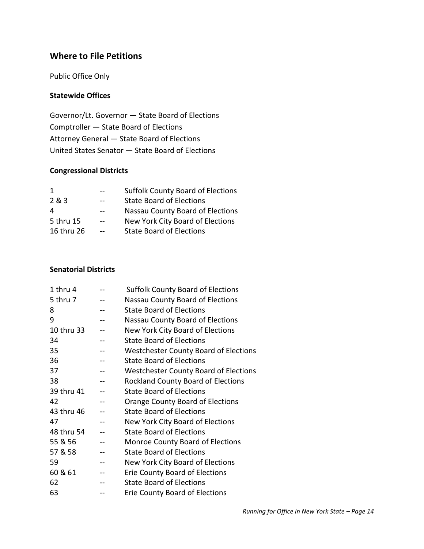## <span id="page-13-0"></span>**Where to File Petitions**

Public Office Only

## <span id="page-13-1"></span>**Statewide Offices**

Governor/Lt. Governor — State Board of Elections Comptroller — State Board of Elections Attorney General — State Board of Elections United States Senator — State Board of Elections

## **Congressional Districts**

<span id="page-13-2"></span>

|            |       | <b>Suffolk County Board of Elections</b> |
|------------|-------|------------------------------------------|
| 2 & 3      |       | <b>State Board of Elections</b>          |
| 4          |       | Nassau County Board of Elections         |
| 5 thru 15  | $- -$ | New York City Board of Elections         |
| 16 thru 26 |       | <b>State Board of Elections</b>          |
|            |       |                                          |

#### **Senatorial Districts**

<span id="page-13-3"></span>

| 1 thru 4   |    | <b>Suffolk County Board of Elections</b>     |
|------------|----|----------------------------------------------|
| 5 thru 7   |    | <b>Nassau County Board of Elections</b>      |
| 8          |    | <b>State Board of Elections</b>              |
| 9          |    | Nassau County Board of Elections             |
| 10 thru 33 |    | New York City Board of Elections             |
| 34         |    | <b>State Board of Elections</b>              |
| 35         |    | <b>Westchester County Board of Elections</b> |
| 36         |    | <b>State Board of Elections</b>              |
| 37         | -- | <b>Westchester County Board of Elections</b> |
| 38         |    | <b>Rockland County Board of Elections</b>    |
| 39 thru 41 |    | <b>State Board of Elections</b>              |
| 42         |    | <b>Orange County Board of Elections</b>      |
| 43 thru 46 |    | <b>State Board of Elections</b>              |
| 47         | -- | New York City Board of Elections             |
| 48 thru 54 |    | <b>State Board of Elections</b>              |
| 55 & 56    |    | <b>Monroe County Board of Elections</b>      |
| 57 & 58    |    | <b>State Board of Elections</b>              |
| 59         |    | New York City Board of Elections             |
| 60 & 61    |    | Erie County Board of Elections               |
| 62         |    | <b>State Board of Elections</b>              |
| 63         |    | Erie County Board of Elections               |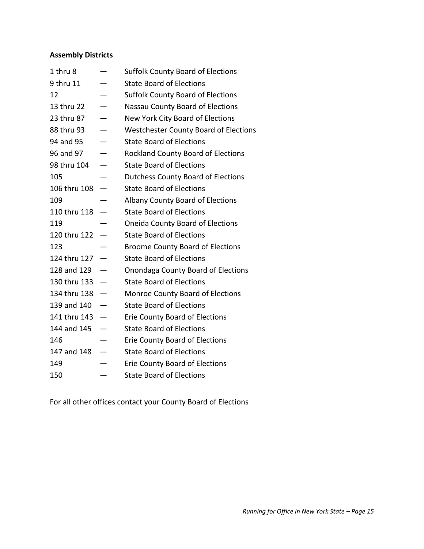# **Assembly Districts**

| 1 thru 8     | <b>Suffolk County Board of Elections</b>     |
|--------------|----------------------------------------------|
| 9 thru 11    | <b>State Board of Elections</b>              |
| 12           | <b>Suffolk County Board of Elections</b>     |
| 13 thru 22   | Nassau County Board of Elections             |
| 23 thru 87   | New York City Board of Elections             |
| 88 thru 93   | <b>Westchester County Board of Elections</b> |
| 94 and 95    | <b>State Board of Elections</b>              |
| 96 and 97    | <b>Rockland County Board of Elections</b>    |
| 98 thru 104  | <b>State Board of Elections</b>              |
| 105          | <b>Dutchess County Board of Elections</b>    |
| 106 thru 108 | <b>State Board of Elections</b>              |
| 109          | Albany County Board of Elections             |
| 110 thru 118 | <b>State Board of Elections</b>              |
| 119          | <b>Oneida County Board of Elections</b>      |
| 120 thru 122 | <b>State Board of Elections</b>              |
| 123          | <b>Broome County Board of Elections</b>      |
| 124 thru 127 | <b>State Board of Elections</b>              |
| 128 and 129  | Onondaga County Board of Elections           |
| 130 thru 133 | <b>State Board of Elections</b>              |
| 134 thru 138 | <b>Monroe County Board of Elections</b>      |
| 139 and 140  | <b>State Board of Elections</b>              |
| 141 thru 143 | <b>Erie County Board of Elections</b>        |
| 144 and 145  | <b>State Board of Elections</b>              |
| 146          | <b>Erie County Board of Elections</b>        |
| 147 and 148  | <b>State Board of Elections</b>              |
| 149          | <b>Erie County Board of Elections</b>        |
| 150          | <b>State Board of Elections</b>              |

<span id="page-14-0"></span>For all other offices contact your County Board of Elections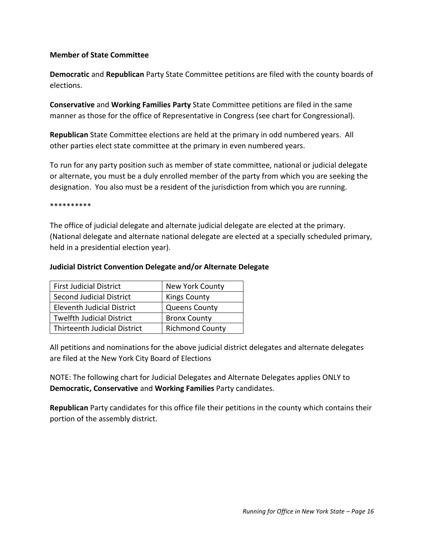#### **Member of State Committee**

**Democratic** and **Republican** Party State Committee petitions are filed with the county boards of elections.

**Conservative** and **Working Families Party** State Committee petitions are filed in the same manner as those for the office of Representative in Congress (see chart for Congressional).

**Republican** State Committee elections are held at the primary in odd numbered years. All other parties elect state committee at the primary in even numbered years.

To run for any party position such as member of state committee, national or judicial delegate or alternate, you must be a duly enrolled member of the party from which you are seeking the designation. You also must be a resident of the jurisdiction from which you are running.

\*\*\*\*\*\*\*\*\*\*

The office of judicial delegate and alternate judicial delegate are elected at the primary. (National delegate and alternate national delegate are elected at a specially scheduled primary, held in a presidential election year).

#### <span id="page-15-0"></span>**Judicial District Convention Delegate and/or Alternate Delegate**

| <b>First Judicial District</b>      | New York County        |
|-------------------------------------|------------------------|
| Second Judicial District            | <b>Kings County</b>    |
| Eleventh Judicial District          | <b>Queens County</b>   |
| <b>Twelfth Judicial District</b>    | <b>Bronx County</b>    |
| <b>Thirteenth Judicial District</b> | <b>Richmond County</b> |

All petitions and nominations for the above judicial district delegates and alternate delegates are filed at the New York City Board of Elections

NOTE: The following chart for Judicial Delegates and Alternate Delegates applies ONLY to **Democratic, Conservative** and **Working Families** Party candidates.

**Republican** Party candidates for this office file their petitions in the county which contains their portion of the assembly district.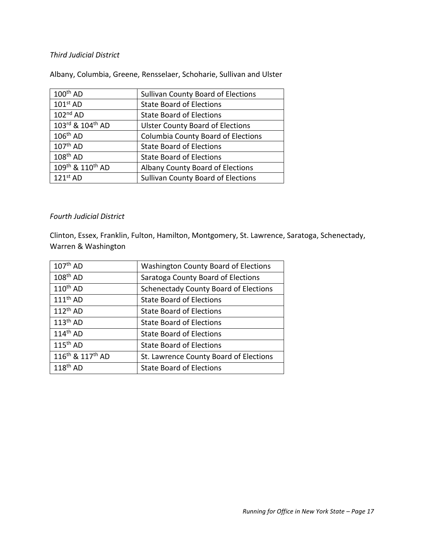#### *Third Judicial District*

Albany, Columbia, Greene, Rensselaer, Schoharie, Sullivan and Ulster

| $100th$ AD       | <b>Sullivan County Board of Elections</b> |
|------------------|-------------------------------------------|
| $101st$ AD       | <b>State Board of Elections</b>           |
| $102nd$ AD       | <b>State Board of Elections</b>           |
| 103rd & 104th AD | <b>Ulster County Board of Elections</b>   |
| $106th$ AD       | <b>Columbia County Board of Elections</b> |
| $107th$ AD       | <b>State Board of Elections</b>           |
| $108th$ AD       | <b>State Board of Elections</b>           |
| 109th & 110th AD | Albany County Board of Elections          |
| $121st$ AD       | <b>Sullivan County Board of Elections</b> |
|                  |                                           |

#### *Fourth Judicial District*

Clinton, Essex, Franklin, Fulton, Hamilton, Montgomery, St. Lawrence, Saratoga, Schenectady, Warren & Washington

| $107th$ AD                               | Washington County Board of Elections         |
|------------------------------------------|----------------------------------------------|
| $108th$ AD                               | Saratoga County Board of Elections           |
| $110^{th}$ AD                            | <b>Schenectady County Board of Elections</b> |
| $111th$ AD                               | <b>State Board of Elections</b>              |
| $112^{th}$ AD                            | <b>State Board of Elections</b>              |
| $113th$ AD                               | <b>State Board of Elections</b>              |
| $114^{\text{th}}$ AD                     | <b>State Board of Elections</b>              |
| $115th$ AD                               | <b>State Board of Elections</b>              |
| 116 <sup>th</sup> & 117 <sup>th</sup> AD | St. Lawrence County Board of Elections       |
| $118^{th}$ AD                            | <b>State Board of Elections</b>              |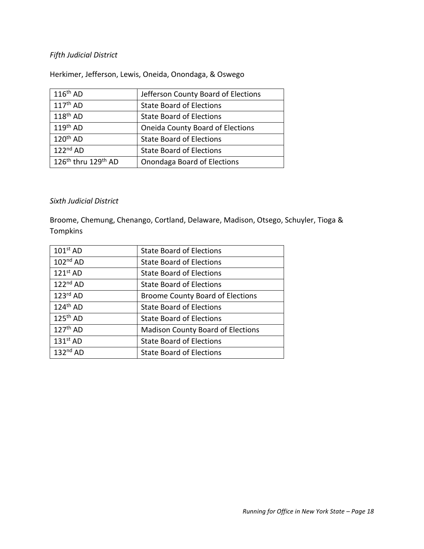## *Fifth Judicial District*

Herkimer, Jefferson, Lewis, Oneida, Onondaga, & Oswego

| $116th$ AD                                  | Jefferson County Board of Elections     |
|---------------------------------------------|-----------------------------------------|
| $117th$ AD                                  | <b>State Board of Elections</b>         |
| $118^{th}$ AD                               | <b>State Board of Elections</b>         |
| $119th$ AD                                  | <b>Oneida County Board of Elections</b> |
| $120th$ AD                                  | <b>State Board of Elections</b>         |
| $122nd$ AD                                  | <b>State Board of Elections</b>         |
| $126^{\text{th}}$ thru $129^{\text{th}}$ AD | Onondaga Board of Elections             |

#### *Sixth Judicial District*

Broome, Chemung, Chenango, Cortland, Delaware, Madison, Otsego, Schuyler, Tioga & Tompkins

| $101st$ AD | <b>State Board of Elections</b>          |
|------------|------------------------------------------|
| $102nd$ AD | <b>State Board of Elections</b>          |
| $121st$ AD | <b>State Board of Elections</b>          |
| $122nd$ AD | <b>State Board of Elections</b>          |
| $123rd$ AD | <b>Broome County Board of Elections</b>  |
| $124th$ AD | <b>State Board of Elections</b>          |
| $125th$ AD | <b>State Board of Elections</b>          |
| $127th$ AD | <b>Madison County Board of Elections</b> |
| $131st$ AD | <b>State Board of Elections</b>          |
| $132nd$ AD | <b>State Board of Elections</b>          |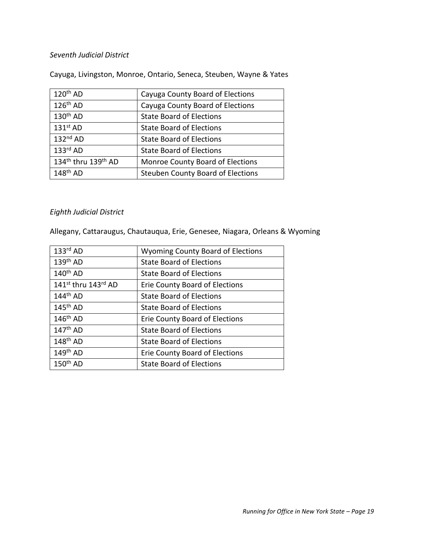#### *Seventh Judicial District*

Cayuga, Livingston, Monroe, Ontario, Seneca, Steuben, Wayne & Yates

| Cayuga County Board of Elections         |  |  |
|------------------------------------------|--|--|
| Cayuga County Board of Elections         |  |  |
| <b>State Board of Elections</b>          |  |  |
| <b>State Board of Elections</b>          |  |  |
| <b>State Board of Elections</b>          |  |  |
| <b>State Board of Elections</b>          |  |  |
| Monroe County Board of Elections         |  |  |
| <b>Steuben County Board of Elections</b> |  |  |
|                                          |  |  |

## *Eighth Judicial District*

Allegany, Cattaraugus, Chautauqua, Erie, Genesee, Niagara, Orleans & Wyoming

| $133rd$ AD                      | <b>Wyoming County Board of Elections</b> |  |  |
|---------------------------------|------------------------------------------|--|--|
| $139th$ AD                      | <b>State Board of Elections</b>          |  |  |
| $140^{th}$ AD                   | <b>State Board of Elections</b>          |  |  |
| 141 <sup>st</sup> thru 143rd AD | Erie County Board of Elections           |  |  |
| $144^{\text{th}}$ AD            | <b>State Board of Elections</b>          |  |  |
| $145^{\text{th}}$ AD            | <b>State Board of Elections</b>          |  |  |
| $146^{\text{th}}$ AD            | Erie County Board of Elections           |  |  |
| $147^{\text{th}}$ AD            | <b>State Board of Elections</b>          |  |  |
| $148^{\text{th}}$ AD            | <b>State Board of Elections</b>          |  |  |
| $149th$ AD                      | Erie County Board of Elections           |  |  |
| $150th$ AD                      | <b>State Board of Elections</b>          |  |  |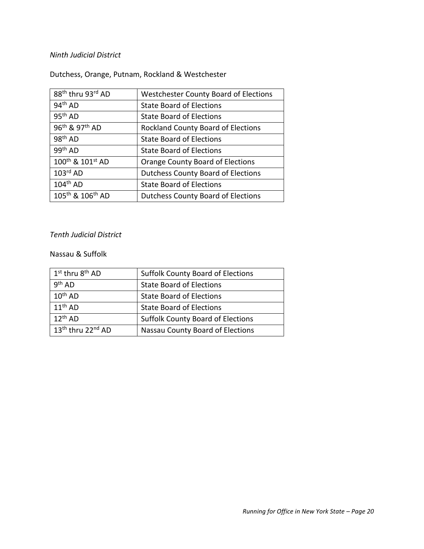## *Ninth Judicial District*

Dutchess, Orange, Putnam, Rockland & Westchester

| 88th thru 93rd AD                        | <b>Westchester County Board of Elections</b> |  |  |
|------------------------------------------|----------------------------------------------|--|--|
| $94th$ AD                                | <b>State Board of Elections</b>              |  |  |
| 95 <sup>th</sup> AD                      | <b>State Board of Elections</b>              |  |  |
| 96 <sup>th</sup> & 97 <sup>th</sup> AD   | <b>Rockland County Board of Elections</b>    |  |  |
| $98th$ AD                                | <b>State Board of Elections</b>              |  |  |
| 99 <sup>th</sup> AD                      | <b>State Board of Elections</b>              |  |  |
| 100 <sup>th</sup> & 101 <sup>st</sup> AD | Orange County Board of Elections             |  |  |
| $103rd$ AD                               | <b>Dutchess County Board of Elections</b>    |  |  |
| $104th$ AD                               | <b>State Board of Elections</b>              |  |  |
| 105 <sup>th</sup> & 106 <sup>th</sup> AD | <b>Dutchess County Board of Elections</b>    |  |  |

#### *Tenth Judicial District*

#### Nassau & Suffolk

| 1 <sup>st</sup> thru 8 <sup>th</sup> AD | <b>Suffolk County Board of Elections</b> |  |  |
|-----------------------------------------|------------------------------------------|--|--|
| 9 <sup>th</sup> AD                      | <b>State Board of Elections</b>          |  |  |
| $10^{th}$ AD                            | <b>State Board of Elections</b>          |  |  |
| $11^{th}$ AD                            | <b>State Board of Elections</b>          |  |  |
| $12^{th}$ AD                            | <b>Suffolk County Board of Elections</b> |  |  |
| $13th$ thru 22 <sup>nd</sup> AD         | Nassau County Board of Elections         |  |  |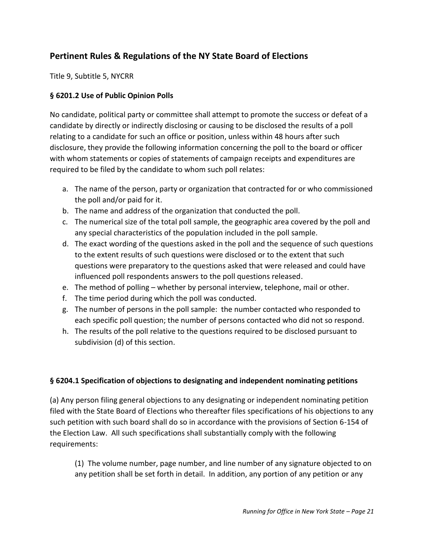# <span id="page-20-0"></span>**Pertinent Rules & Regulations of the NY State Board of Elections**

Title 9, Subtitle 5, NYCRR

## <span id="page-20-1"></span>**§ 6201.2 Use of Public Opinion Polls**

No candidate, political party or committee shall attempt to promote the success or defeat of a candidate by directly or indirectly disclosing or causing to be disclosed the results of a poll relating to a candidate for such an office or position, unless within 48 hours after such disclosure, they provide the following information concerning the poll to the board or officer with whom statements or copies of statements of campaign receipts and expenditures are required to be filed by the candidate to whom such poll relates:

- a. The name of the person, party or organization that contracted for or who commissioned the poll and/or paid for it.
- b. The name and address of the organization that conducted the poll.
- c. The numerical size of the total poll sample, the geographic area covered by the poll and any special characteristics of the population included in the poll sample.
- d. The exact wording of the questions asked in the poll and the sequence of such questions to the extent results of such questions were disclosed or to the extent that such questions were preparatory to the questions asked that were released and could have influenced poll respondents answers to the poll questions released.
- e. The method of polling whether by personal interview, telephone, mail or other.
- f. The time period during which the poll was conducted.
- g. The number of persons in the poll sample: the number contacted who responded to each specific poll question; the number of persons contacted who did not so respond.
- h. The results of the poll relative to the questions required to be disclosed pursuant to subdivision (d) of this section.

## <span id="page-20-2"></span>**§ 6204.1 Specification of objections to designating and independent nominating petitions**

(a) Any person filing general objections to any designating or independent nominating petition filed with the State Board of Elections who thereafter files specifications of his objections to any such petition with such board shall do so in accordance with the provisions of Section 6-154 of the Election Law. All such specifications shall substantially comply with the following requirements:

(1) The volume number, page number, and line number of any signature objected to on any petition shall be set forth in detail. In addition, any portion of any petition or any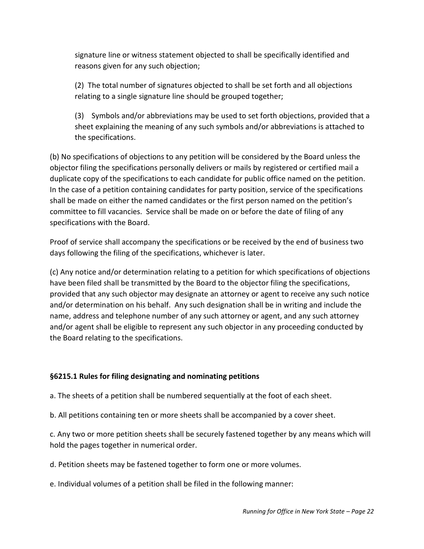signature line or witness statement objected to shall be specifically identified and reasons given for any such objection;

(2) The total number of signatures objected to shall be set forth and all objections relating to a single signature line should be grouped together;

(3) Symbols and/or abbreviations may be used to set forth objections, provided that a sheet explaining the meaning of any such symbols and/or abbreviations is attached to the specifications.

(b) No specifications of objections to any petition will be considered by the Board unless the objector filing the specifications personally delivers or mails by registered or certified mail a duplicate copy of the specifications to each candidate for public office named on the petition. In the case of a petition containing candidates for party position, service of the specifications shall be made on either the named candidates or the first person named on the petition's committee to fill vacancies. Service shall be made on or before the date of filing of any specifications with the Board.

Proof of service shall accompany the specifications or be received by the end of business two days following the filing of the specifications, whichever is later.

(c) Any notice and/or determination relating to a petition for which specifications of objections have been filed shall be transmitted by the Board to the objector filing the specifications, provided that any such objector may designate an attorney or agent to receive any such notice and/or determination on his behalf. Any such designation shall be in writing and include the name, address and telephone number of any such attorney or agent, and any such attorney and/or agent shall be eligible to represent any such objector in any proceeding conducted by the Board relating to the specifications.

## <span id="page-21-0"></span>**§6215.1 Rules for filing designating and nominating petitions**

a. The sheets of a petition shall be numbered sequentially at the foot of each sheet.

b. All petitions containing ten or more sheets shall be accompanied by a cover sheet.

c. Any two or more petition sheets shall be securely fastened together by any means which will hold the pages together in numerical order.

d. Petition sheets may be fastened together to form one or more volumes.

e. Individual volumes of a petition shall be filed in the following manner: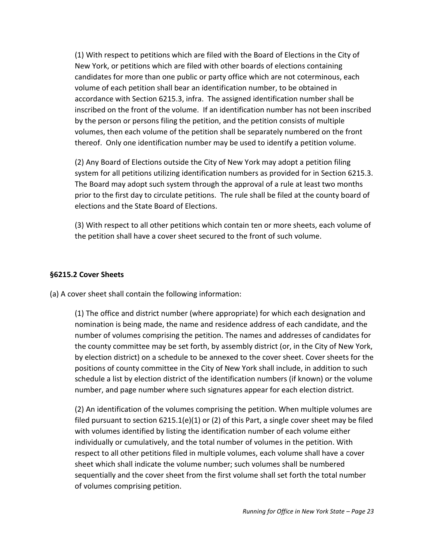(1) With respect to petitions which are filed with the Board of Elections in the City of New York, or petitions which are filed with other boards of elections containing candidates for more than one public or party office which are not coterminous, each volume of each petition shall bear an identification number, to be obtained in accordance with Section 6215.3, infra. The assigned identification number shall be inscribed on the front of the volume. If an identification number has not been inscribed by the person or persons filing the petition, and the petition consists of multiple volumes, then each volume of the petition shall be separately numbered on the front thereof. Only one identification number may be used to identify a petition volume.

(2) Any Board of Elections outside the City of New York may adopt a petition filing system for all petitions utilizing identification numbers as provided for in Section 6215.3. The Board may adopt such system through the approval of a rule at least two months prior to the first day to circulate petitions. The rule shall be filed at the county board of elections and the State Board of Elections.

(3) With respect to all other petitions which contain ten or more sheets, each volume of the petition shall have a cover sheet secured to the front of such volume.

## <span id="page-22-0"></span>**§6215.2 Cover Sheets**

(a) A cover sheet shall contain the following information:

(1) The office and district number (where appropriate) for which each designation and nomination is being made, the name and residence address of each candidate, and the number of volumes comprising the petition. The names and addresses of candidates for the county committee may be set forth, by assembly district (or, in the City of New York, by election district) on a schedule to be annexed to the cover sheet. Cover sheets for the positions of county committee in the City of New York shall include, in addition to such schedule a list by election district of the identification numbers (if known) or the volume number, and page number where such signatures appear for each election district.

(2) An identification of the volumes comprising the petition. When multiple volumes are filed pursuant to section  $6215.1(e)(1)$  or (2) of this Part, a single cover sheet may be filed with volumes identified by listing the identification number of each volume either individually or cumulatively, and the total number of volumes in the petition. With respect to all other petitions filed in multiple volumes, each volume shall have a cover sheet which shall indicate the volume number; such volumes shall be numbered sequentially and the cover sheet from the first volume shall set forth the total number of volumes comprising petition.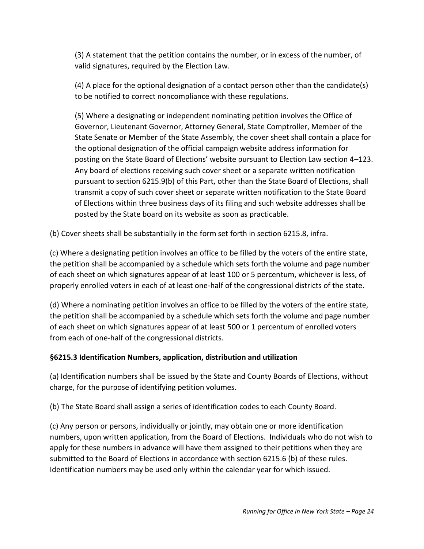(3) A statement that the petition contains the number, or in excess of the number, of valid signatures, required by the Election Law.

(4) A place for the optional designation of a contact person other than the candidate(s) to be notified to correct noncompliance with these regulations.

(5) Where a designating or independent nominating petition involves the Office of Governor, Lieutenant Governor, Attorney General, State Comptroller, Member of the State Senate or Member of the State Assembly, the cover sheet shall contain a place for the optional designation of the official campaign website address information for posting on the State Board of Elections' website pursuant to Election Law section 4–123. Any board of elections receiving such cover sheet or a separate written notification pursuant to section 6215.9(b) of this Part, other than the State Board of Elections, shall transmit a copy of such cover sheet or separate written notification to the State Board of Elections within three business days of its filing and such website addresses shall be posted by the State board on its website as soon as practicable.

(b) Cover sheets shall be substantially in the form set forth in section 6215.8, infra.

(c) Where a designating petition involves an office to be filled by the voters of the entire state, the petition shall be accompanied by a schedule which sets forth the volume and page number of each sheet on which signatures appear of at least 100 or 5 percentum, whichever is less, of properly enrolled voters in each of at least one-half of the congressional districts of the state.

(d) Where a nominating petition involves an office to be filled by the voters of the entire state, the petition shall be accompanied by a schedule which sets forth the volume and page number of each sheet on which signatures appear of at least 500 or 1 percentum of enrolled voters from each of one-half of the congressional districts.

## <span id="page-23-0"></span>**§6215.3 Identification Numbers, application, distribution and utilization**

(a) Identification numbers shall be issued by the State and County Boards of Elections, without charge, for the purpose of identifying petition volumes.

(b) The State Board shall assign a series of identification codes to each County Board.

(c) Any person or persons, individually or jointly, may obtain one or more identification numbers, upon written application, from the Board of Elections. Individuals who do not wish to apply for these numbers in advance will have them assigned to their petitions when they are submitted to the Board of Elections in accordance with section 6215.6 (b) of these rules. Identification numbers may be used only within the calendar year for which issued.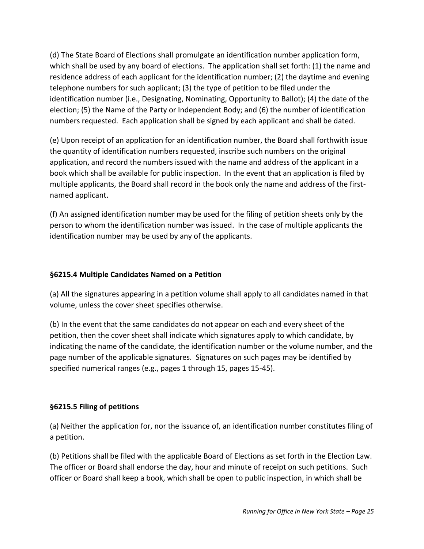(d) The State Board of Elections shall promulgate an identification number application form, which shall be used by any board of elections. The application shall set forth: (1) the name and residence address of each applicant for the identification number; (2) the daytime and evening telephone numbers for such applicant; (3) the type of petition to be filed under the identification number (i.e., Designating, Nominating, Opportunity to Ballot); (4) the date of the election; (5) the Name of the Party or Independent Body; and (6) the number of identification numbers requested. Each application shall be signed by each applicant and shall be dated.

(e) Upon receipt of an application for an identification number, the Board shall forthwith issue the quantity of identification numbers requested, inscribe such numbers on the original application, and record the numbers issued with the name and address of the applicant in a book which shall be available for public inspection. In the event that an application is filed by multiple applicants, the Board shall record in the book only the name and address of the firstnamed applicant.

(f) An assigned identification number may be used for the filing of petition sheets only by the person to whom the identification number was issued. In the case of multiple applicants the identification number may be used by any of the applicants.

## <span id="page-24-0"></span>**§6215.4 Multiple Candidates Named on a Petition**

(a) All the signatures appearing in a petition volume shall apply to all candidates named in that volume, unless the cover sheet specifies otherwise.

(b) In the event that the same candidates do not appear on each and every sheet of the petition, then the cover sheet shall indicate which signatures apply to which candidate, by indicating the name of the candidate, the identification number or the volume number, and the page number of the applicable signatures. Signatures on such pages may be identified by specified numerical ranges (e.g., pages 1 through 15, pages 15-45).

## <span id="page-24-1"></span>**§6215.5 Filing of petitions**

(a) Neither the application for, nor the issuance of, an identification number constitutes filing of a petition.

(b) Petitions shall be filed with the applicable Board of Elections as set forth in the Election Law. The officer or Board shall endorse the day, hour and minute of receipt on such petitions. Such officer or Board shall keep a book, which shall be open to public inspection, in which shall be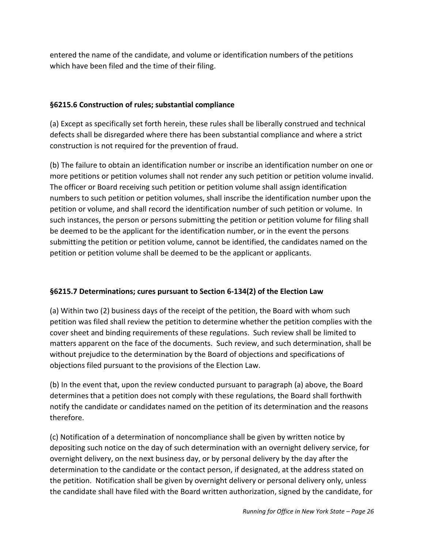entered the name of the candidate, and volume or identification numbers of the petitions which have been filed and the time of their filing.

## <span id="page-25-0"></span>**§6215.6 Construction of rules; substantial compliance**

(a) Except as specifically set forth herein, these rules shall be liberally construed and technical defects shall be disregarded where there has been substantial compliance and where a strict construction is not required for the prevention of fraud.

(b) The failure to obtain an identification number or inscribe an identification number on one or more petitions or petition volumes shall not render any such petition or petition volume invalid. The officer or Board receiving such petition or petition volume shall assign identification numbers to such petition or petition volumes, shall inscribe the identification number upon the petition or volume, and shall record the identification number of such petition or volume. In such instances, the person or persons submitting the petition or petition volume for filing shall be deemed to be the applicant for the identification number, or in the event the persons submitting the petition or petition volume, cannot be identified, the candidates named on the petition or petition volume shall be deemed to be the applicant or applicants.

## <span id="page-25-1"></span>**§6215.7 Determinations; cures pursuant to Section 6-134(2) of the Election Law**

(a) Within two (2) business days of the receipt of the petition, the Board with whom such petition was filed shall review the petition to determine whether the petition complies with the cover sheet and binding requirements of these regulations. Such review shall be limited to matters apparent on the face of the documents. Such review, and such determination, shall be without prejudice to the determination by the Board of objections and specifications of objections filed pursuant to the provisions of the Election Law.

(b) In the event that, upon the review conducted pursuant to paragraph (a) above, the Board determines that a petition does not comply with these regulations, the Board shall forthwith notify the candidate or candidates named on the petition of its determination and the reasons therefore.

(c) Notification of a determination of noncompliance shall be given by written notice by depositing such notice on the day of such determination with an overnight delivery service, for overnight delivery, on the next business day, or by personal delivery by the day after the determination to the candidate or the contact person, if designated, at the address stated on the petition. Notification shall be given by overnight delivery or personal delivery only, unless the candidate shall have filed with the Board written authorization, signed by the candidate, for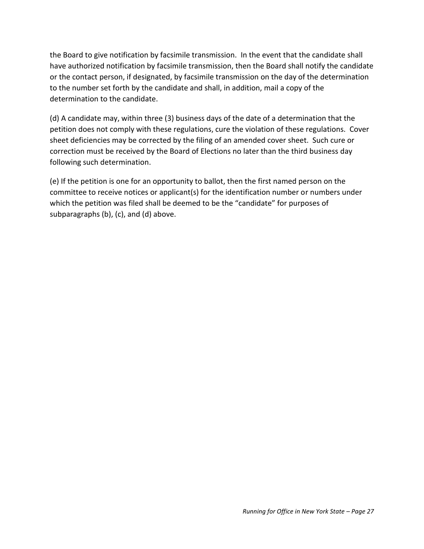the Board to give notification by facsimile transmission. In the event that the candidate shall have authorized notification by facsimile transmission, then the Board shall notify the candidate or the contact person, if designated, by facsimile transmission on the day of the determination to the number set forth by the candidate and shall, in addition, mail a copy of the determination to the candidate.

(d) A candidate may, within three (3) business days of the date of a determination that the petition does not comply with these regulations, cure the violation of these regulations. Cover sheet deficiencies may be corrected by the filing of an amended cover sheet. Such cure or correction must be received by the Board of Elections no later than the third business day following such determination.

(e) If the petition is one for an opportunity to ballot, then the first named person on the committee to receive notices or applicant(s) for the identification number or numbers under which the petition was filed shall be deemed to be the "candidate" for purposes of subparagraphs (b), (c), and (d) above.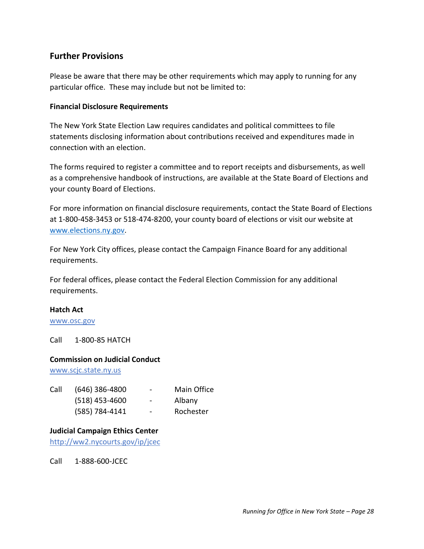## <span id="page-27-0"></span>**Further Provisions**

Please be aware that there may be other requirements which may apply to running for any particular office. These may include but not be limited to:

#### <span id="page-27-1"></span>**Financial Disclosure Requirements**

The New York State Election Law requires candidates and political committees to file statements disclosing information about contributions received and expenditures made in connection with an election.

The forms required to register a committee and to report receipts and disbursements, as well as a comprehensive handbook of instructions, are available at the State Board of Elections and your county Board of Elections.

For more information on financial disclosure requirements, contact the State Board of Elections at 1-800-458-3453 or 518-474-8200, your county board of elections or visit our website at [www.elections.ny.gov.](http://www.elections.ny.gov/)

For New York City offices, please contact the Campaign Finance Board for any additional requirements.

For federal offices, please contact the Federal Election Commission for any additional requirements.

#### <span id="page-27-2"></span>**Hatch Act**

[www.osc.gov](http://www.osc.gov/)

Call 1-800-85 HATCH

#### <span id="page-27-3"></span>**Commission on Judicial Conduct**

[www.scjc.state.ny.us](http://www.scjc.state.ny.us/)

| Call | $(646)$ 386-4800 | $\overline{\phantom{a}}$ | Main Office |
|------|------------------|--------------------------|-------------|
|      | $(518)$ 453-4600 | $\overline{\phantom{a}}$ | Albany      |
|      | (585) 784-4141   | $\overline{\phantom{a}}$ | Rochester   |

#### <span id="page-27-4"></span>**Judicial Campaign Ethics Center**

<http://ww2.nycourts.gov/ip/jcec>

<span id="page-27-5"></span>Call 1-888-600-JCEC